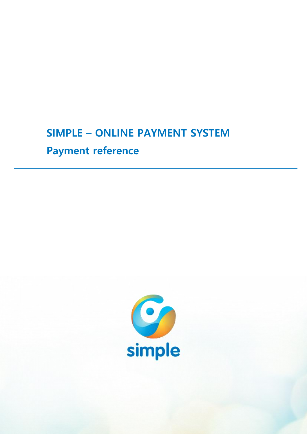## **SIMPLE – ONLINE PAYMENT SYSTEM**

# **Payment reference**

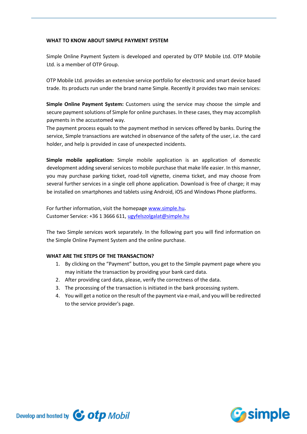## **WHAT TO KNOW ABOUT SIMPLE PAYMENT SYSTEM**

Simple Online Payment System is developed and operated by OTP Mobile Ltd. OTP Mobile Ltd. is a member of OTP Group.

OTP Mobile Ltd. provides an extensive service portfolio for electronic and smart device based trade. Its products run under the brand name Simple. Recently it provides two main services:

**Simple Online Payment System:** Customers using the service may choose the simple and secure payment solutions of Simple for online purchases. In these cases, they may accomplish payments in the accustomed way.

The payment process equals to the payment method in services offered by banks. During the service, Simple transactions are watched in observance of the safety of the user, i.e. the card holder, and help is provided in case of unexpected incidents.

**Simple mobile application:** Simple mobile application is an application of domestic development adding several services to mobile purchase that make life easier. In this manner, you may purchase parking ticket, road-toll vignette, cinema ticket, and may choose from several further services in a single cell phone application. Download is free of charge; it may be installed on smartphones and tablets using Android, iOS and Windows Phone platforms.

For further information, visit the homepag[e www.simple.hu](http://www.simple.hu/). Customer Service: +36 1 3666 611, [ugyfelszolgalat@simple.hu](mailto:ugyfelszolgalat@simple.hu)

The two Simple services work separately. In the following part you will find information on the Simple Online Payment System and the online purchase.

## **WHAT ARE THE STEPS OF THE TRANSACTION?**

- 1. By clicking on the "Payment" button, you get to the Simple payment page where you may initiate the transaction by providing your bank card data.
- 2. After providing card data, please, verify the correctness of the data.
- 3. The processing of the transaction is initiated in the bank processing system.
- 4. You will get a notice on the result of the payment via e-mail, and you will be redirected to the service provider's page.

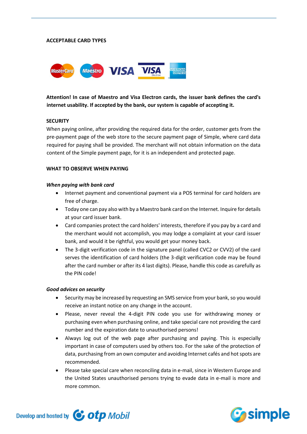#### **ACCEPTABLE CARD TYPES**



**Attention! In case of Maestro and Visa Electron cards, the issuer bank defines the card's internet usability. If accepted by the bank, our system is capable of accepting it.**

#### **SECURITY**

When paying online, after providing the required data for the order, customer gets from the pre-payment page of the web store to the secure payment page of Simple, where card data required for paying shall be provided. The merchant will not obtain information on the data content of the Simple payment page, for it is an independent and protected page.

#### **WHAT TO OBSERVE WHEN PAYING**

#### *When paying with bank card*

- Internet payment and conventional payment via a POS terminal for card holders are free of charge.
- Today one can pay also with by a Maestro bank card on the Internet. Inquire for details at your card issuer bank.
- Card companies protect the card holders' interests, therefore if you pay by a card and the merchant would not accomplish, you may lodge a complaint at your card issuer bank, and would it be rightful, you would get your money back.
- The 3-digit verification code in the signature panel (called CVC2 or CVV2) of the card serves the identification of card holders (the 3-digit verification code may be found after the card number or after its 4 last digits). Please, handle this code as carefully as the PIN code!

### *Good advices on security*

- Security may be increased by requesting an SMS service from your bank, so you would receive an instant notice on any change in the account.
- Please, never reveal the 4-digit PIN code you use for withdrawing money or purchasing even when purchasing online, and take special care not providing the card number and the expiration date to unauthorised persons!
- Always log out of the web page after purchasing and paying. This is especially important in case of computers used by others too. For the sake of the protection of data, purchasing from an own computer and avoiding Internet cafés and hot spots are recommended.
- Please take special care when reconciling data in e-mail, since in Western Europe and the United States unauthorised persons trying to evade data in e-mail is more and more common.